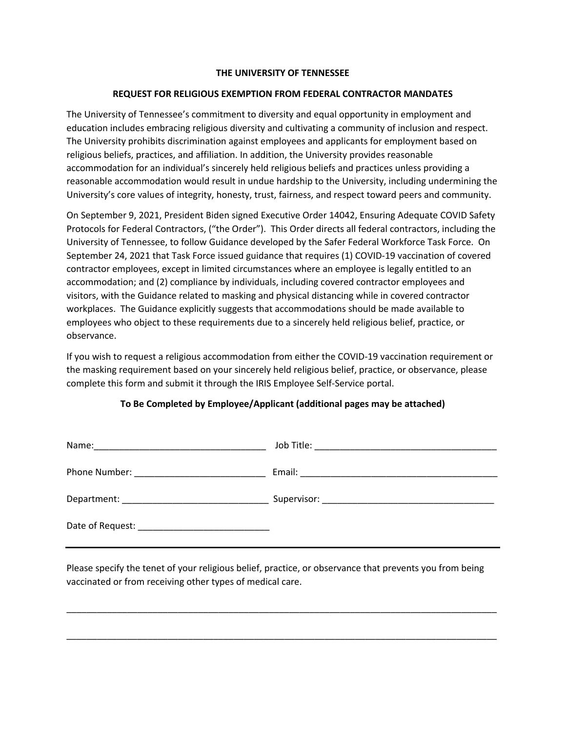## **THE UNIVERSITY OF TENNESSEE**

## **REQUEST FOR RELIGIOUS EXEMPTION FROM FEDERAL CONTRACTOR MANDATES**

 The University of Tennessee's commitment to diversity and equal opportunity in employment and education includes embracing religious diversity and cultivating a community of inclusion and respect. The University prohibits discrimination against employees and applicants for employment based on reasonable accommodation would result in undue hardship to the University, including undermining the University's core values of integrity, honesty, trust, fairness, and respect toward peers and community. religious beliefs, practices, and affiliation. In addition, the University provides reasonable accommodation for an individual's sincerely held religious beliefs and practices unless providing a

 On September 9, 2021, President Biden signed Executive Order 14042, Ensuring Adequate COVID Safety Protocols for Federal Contractors, ("the Order"). This Order directs all federal contractors, including the University of Tennessee, to follow Guidance developed by the Safer Federal Workforce Task Force. On September 24, 2021 that Task Force issued guidance that requires (1) COVID-19 vaccination of covered visitors, with the Guidance related to masking and physical distancing while in covered contractor workplaces. The Guidance explicitly suggests that accommodations should be made available to employees who object to these requirements due to a sincerely held religious belief, practice, or contractor employees, except in limited circumstances where an employee is legally entitled to an accommodation; and (2) compliance by individuals, including covered contractor employees and observance.

 If you wish to request a religious accommodation from either the COVID-19 vaccination requirement or the masking requirement based on your sincerely held religious belief, practice, or observance, please complete this form and submit it through the IRIS Employee Self-Service portal.

## **To Be Completed by Employee/Applicant (additional pages may be attached)**

 Please specify the tenet of your religious belief, practice, or observance that prevents you from being vaccinated or from receiving other types of medical care.

\_\_\_\_\_\_\_\_\_\_\_\_\_\_\_\_\_\_\_\_\_\_\_\_\_\_\_\_\_\_\_\_\_\_\_\_\_\_\_\_\_\_\_\_\_\_\_\_\_\_\_\_\_\_\_\_\_\_\_\_\_\_\_\_\_\_\_\_\_\_\_\_\_\_\_\_\_\_\_\_\_\_\_\_\_

\_\_\_\_\_\_\_\_\_\_\_\_\_\_\_\_\_\_\_\_\_\_\_\_\_\_\_\_\_\_\_\_\_\_\_\_\_\_\_\_\_\_\_\_\_\_\_\_\_\_\_\_\_\_\_\_\_\_\_\_\_\_\_\_\_\_\_\_\_\_\_\_\_\_\_\_\_\_\_\_\_\_\_\_\_